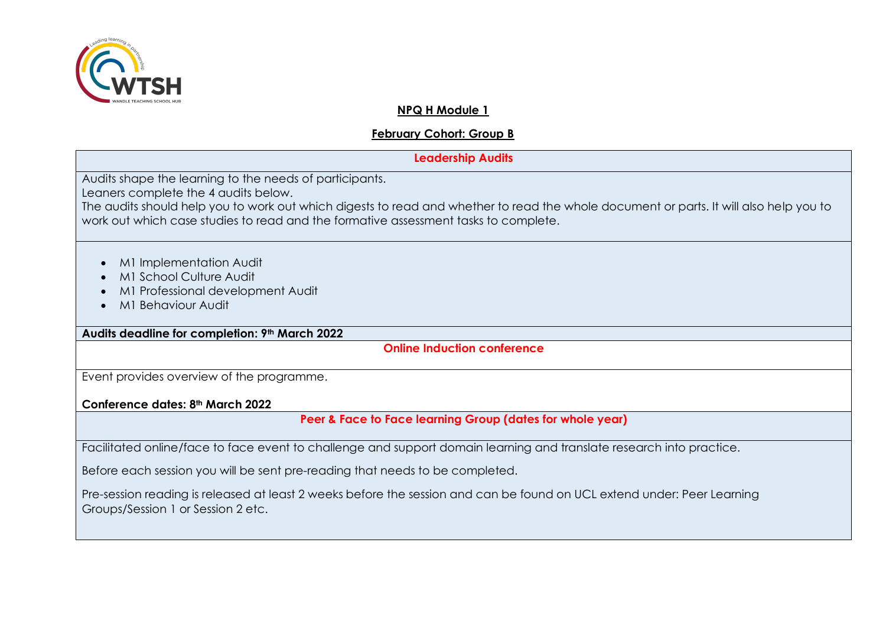

## **NPQ H Module 1**

# **February Cohort: Group B**

# **Leadership Audits** Audits shape the learning to the needs of participants. Leaners complete the 4 audits below. The audits should help you to work out which digests to read and whether to read the whole document or parts. It will also help you to work out which case studies to read and the formative assessment tasks to complete.

- M1 Implementation Audit
- M1 School Culture Audit
- M1 Professional development Audit
- M1 Behaviour Audit

**Audits deadline for completion: 9th March 2022**

**Online Induction conference**

Event provides overview of the programme.

**Conference dates: 8th March 2022**

**Peer & Face to Face learning Group (dates for whole year)**

Facilitated online/face to face event to challenge and support domain learning and translate research into practice.

Before each session you will be sent pre-reading that needs to be completed.

Pre-session reading is released at least 2 weeks before the session and can be found on UCL extend under: Peer Learning Groups/Session 1 or Session 2 etc.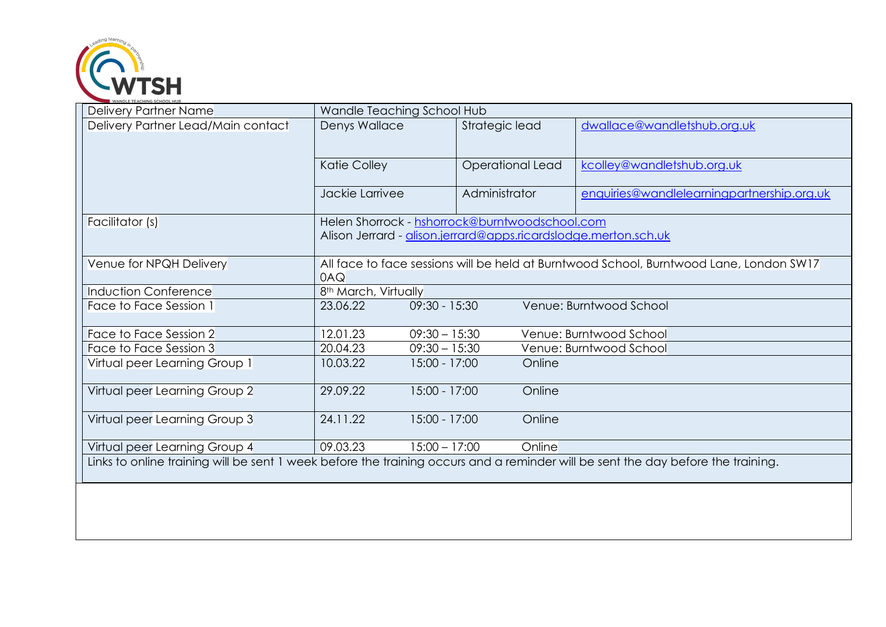

| Delivery Partner Name                                                                                                            | Wandle Teaching School Hub                                                                                        |                         |                                            |  |
|----------------------------------------------------------------------------------------------------------------------------------|-------------------------------------------------------------------------------------------------------------------|-------------------------|--------------------------------------------|--|
| Delivery Partner Lead/Main contact                                                                                               | Denys Wallace                                                                                                     | Strategic lead          | dwallace@wandletshub.org.uk                |  |
|                                                                                                                                  | <b>Katie Colley</b>                                                                                               | <b>Operational Lead</b> | kcolley@wandletshub.org.uk                 |  |
|                                                                                                                                  | Jackie Larrivee                                                                                                   | Administrator           | enquiries@wandlelearningpartnership.org.uk |  |
| Facilitator (s)                                                                                                                  | Helen Shorrock - hshorrock@burntwoodschool.com<br>Alison Jerrard - alison.jerrard@apps.ricardslodge.merton.sch.uk |                         |                                            |  |
| Venue for NPQH Delivery                                                                                                          | All face to face sessions will be held at Burntwood School, Burntwood Lane, London SW17<br>0AQ                    |                         |                                            |  |
| <b>Induction Conference</b>                                                                                                      | 8 <sup>th</sup> March, Virtually                                                                                  |                         |                                            |  |
| Face to Face Session 1                                                                                                           | $09:30 - 15:30$<br>23.06.22                                                                                       |                         | Venue: Burntwood School                    |  |
| Face to Face Session 2                                                                                                           | $09:30 - 15:30$<br>12.01.23                                                                                       |                         | Venue: Burntwood School                    |  |
| Face to Face Session 3                                                                                                           | 20.04.23<br>$09:30 - 15:30$                                                                                       |                         | Venue: Burntwood School                    |  |
| Virtual peer Learning Group 1                                                                                                    | 10.03.22<br>15:00 - 17:00                                                                                         | Online                  |                                            |  |
| Virtual peer Learning Group 2                                                                                                    | 15:00 - 17:00<br>29.09.22                                                                                         | Online                  |                                            |  |
| Virtual peer Learning Group 3                                                                                                    | 15:00 - 17:00<br>24.11.22                                                                                         | Online                  |                                            |  |
| Virtual peer Learning Group 4                                                                                                    | 09.03.23<br>$15:00 - 17:00$                                                                                       | Online                  |                                            |  |
| Links to online training will be sent 1 week before the training occurs and a reminder will be sent the day before the training. |                                                                                                                   |                         |                                            |  |
|                                                                                                                                  |                                                                                                                   |                         |                                            |  |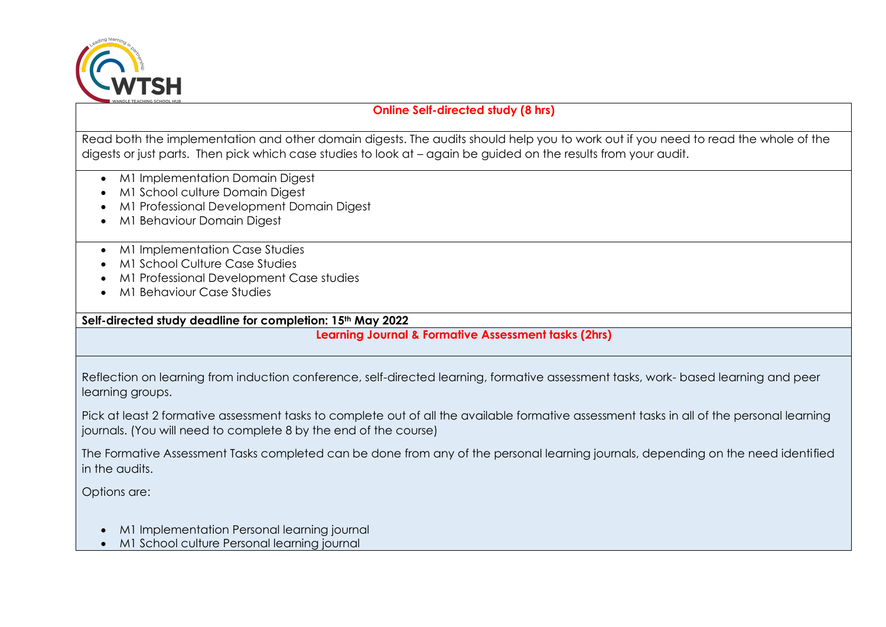

# **Online Self-directed study (8 hrs)**

Read both the implementation and other domain digests. The audits should help you to work out if you need to read the whole of the digests or just parts. Then pick which case studies to look at – again be guided on the results from your audit.

- M1 Implementation Domain Digest
- M1 School culture Domain Digest
- M1 Professional Development Domain Digest
- M1 Behaviour Domain Digest
- M1 Implementation Case Studies
- M1 School Culture Case Studies
- M1 Professional Development Case studies
- M1 Behaviour Case Studies

**Self-directed study deadline for completion: 15th May 2022**

**Learning Journal & Formative Assessment tasks (2hrs)**

Reflection on learning from induction conference, self-directed learning, formative assessment tasks, work- based learning and peer learning groups.

Pick at least 2 formative assessment tasks to complete out of all the available formative assessment tasks in all of the personal learning journals. (You will need to complete 8 by the end of the course)

The Formative Assessment Tasks completed can be done from any of the personal learning journals, depending on the need identified in the audits.

Options are:

- M1 Implementation Personal learning journal
- M1 School culture Personal learning journal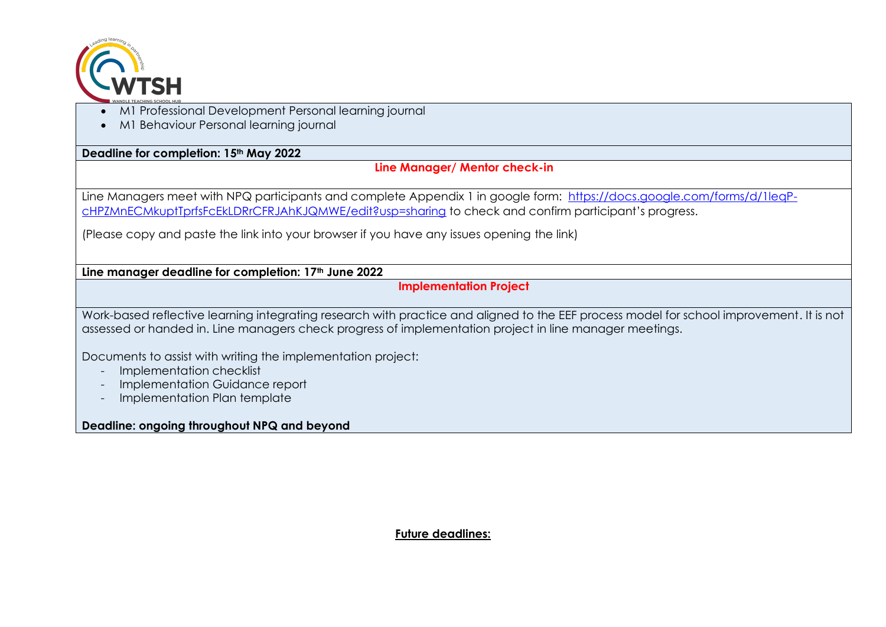

- M1 Professional Development Personal learning journal
- M1 Behaviour Personal learning journal

**Deadline for completion: 15th May 2022**

## **Line Manager/ Mentor check-in**

Line Managers meet with NPQ participants and complete Appendix 1 in google form: [https://docs.google.com/forms/d/1leqP](https://docs.google.com/forms/d/1leqP-cHPZMnECMkuptTprfsFcEkLDRrCFRJAhKJQMWE/edit?usp=sharing)[cHPZMnECMkuptTprfsFcEkLDRrCFRJAhKJQMWE/edit?usp=sharing](https://docs.google.com/forms/d/1leqP-cHPZMnECMkuptTprfsFcEkLDRrCFRJAhKJQMWE/edit?usp=sharing) to check and confirm participant's progress.

(Please copy and paste the link into your browser if you have any issues opening the link)

**Line manager deadline for completion: 17th June 2022**

## **Implementation Project**

Work-based reflective learning integrating research with practice and aligned to the EEF process model for school improvement. It is not assessed or handed in. Line managers check progress of implementation project in line manager meetings.

Documents to assist with writing the implementation project:

- Implementation checklist
- Implementation Guidance report
- Implementation Plan template

## **Deadline: ongoing throughout NPQ and beyond**

## **Future deadlines:**